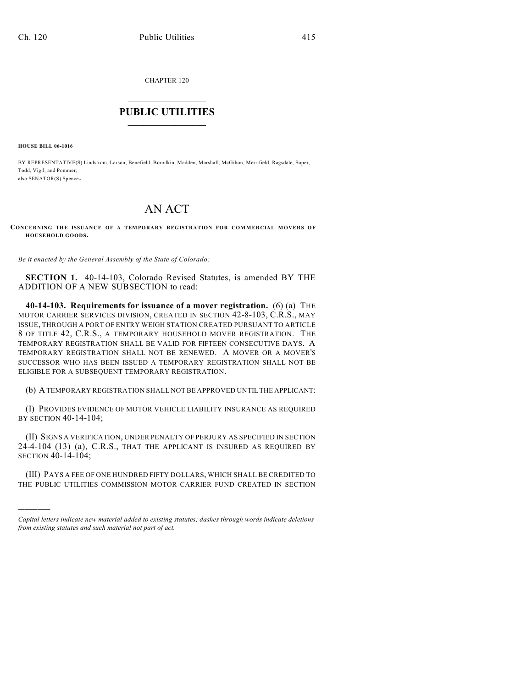CHAPTER 120

## $\mathcal{L}_\text{max}$  . The set of the set of the set of the set of the set of the set of the set of the set of the set of the set of the set of the set of the set of the set of the set of the set of the set of the set of the set **PUBLIC UTILITIES** \_\_\_\_\_\_\_\_\_\_\_\_\_\_\_

**HOUSE BILL 06-1016**

)))))

BY REPRESENTATIVE(S) Lindstrom, Larson, Benefield, Borodkin, Madden, Marshall, McGihon, Merrifield, Ragsdale, Soper, Todd, Vigil, and Pommer; also SENATOR(S) Spence.

## AN ACT

**CONCERNING THE ISSUANCE OF A TEMPORARY REGISTRATION FOR COMMERCIAL MOVERS OF HOUSEHOLD GOODS.**

*Be it enacted by the General Assembly of the State of Colorado:*

**SECTION 1.** 40-14-103, Colorado Revised Statutes, is amended BY THE ADDITION OF A NEW SUBSECTION to read:

**40-14-103. Requirements for issuance of a mover registration.** (6) (a) THE MOTOR CARRIER SERVICES DIVISION, CREATED IN SECTION 42-8-103, C.R.S., MAY ISSUE, THROUGH A PORT OF ENTRY WEIGH STATION CREATED PURSUANT TO ARTICLE 8 OF TITLE 42, C.R.S., A TEMPORARY HOUSEHOLD MOVER REGISTRATION. THE TEMPORARY REGISTRATION SHALL BE VALID FOR FIFTEEN CONSECUTIVE DAYS. A TEMPORARY REGISTRATION SHALL NOT BE RENEWED. A MOVER OR A MOVER'S SUCCESSOR WHO HAS BEEN ISSUED A TEMPORARY REGISTRATION SHALL NOT BE ELIGIBLE FOR A SUBSEQUENT TEMPORARY REGISTRATION.

(b) A TEMPORARY REGISTRATION SHALL NOT BE APPROVED UNTIL THE APPLICANT:

(I) PROVIDES EVIDENCE OF MOTOR VEHICLE LIABILITY INSURANCE AS REQUIRED BY SECTION 40-14-104;

(II) SIGNS A VERIFICATION, UNDER PENALTY OF PERJURY AS SPECIFIED IN SECTION 24-4-104 (13) (a), C.R.S., THAT THE APPLICANT IS INSURED AS REQUIRED BY SECTION 40-14-104;

(III) PAYS A FEE OF ONE HUNDRED FIFTY DOLLARS, WHICH SHALL BE CREDITED TO THE PUBLIC UTILITIES COMMISSION MOTOR CARRIER FUND CREATED IN SECTION

*Capital letters indicate new material added to existing statutes; dashes through words indicate deletions from existing statutes and such material not part of act.*